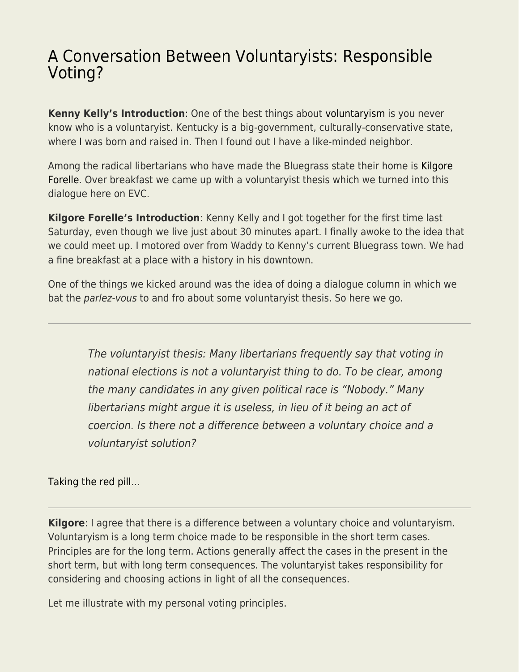## [A Conversation Between Voluntaryists: Responsible](https://everything-voluntary.com/conversation-voluntaryists-responsible-voting) [Voting?](https://everything-voluntary.com/conversation-voluntaryists-responsible-voting)

**Kenny Kelly's Introduction**: One of the best things about [voluntaryism](http://everything-voluntary.com/voluntaryism) is you never know who is a voluntaryist. Kentucky is a big-government, culturally-conservative state, where I was born and raised in. Then I found out I have a like-minded neighbor.

Among the radical libertarians who have made the Bluegrass state their home is [Kilgore](http://everything-voluntary.com/author/kilgoreforelle) [Forelle](http://everything-voluntary.com/author/kilgoreforelle). Over breakfast we came up with a voluntaryist thesis which we turned into this dialogue here on EVC.

**Kilgore Forelle's Introduction**: Kenny Kelly and I got together for the first time last Saturday, even though we live just about 30 minutes apart. I finally awoke to the idea that we could meet up. I motored over from Waddy to Kenny's current Bluegrass town. We had a fine breakfast at a place with a history in his downtown.

One of the things we kicked around was the idea of doing a dialogue column in which we bat the parlez-vous to and fro about some voluntaryist thesis. So here we go.

The voluntaryist thesis: Many libertarians frequently say that voting in national elections is not a voluntaryist thing to do. To be clear, among the many candidates in any given political race is "Nobody." Many libertarians might argue it is useless, in lieu of it being an act of coercion. Is there not a difference between a voluntary choice and a voluntaryist solution?

[Taking the red pill…](https://www.youtube.com/watch?v=zE7PKRjrid4)

**Kilgore**: I agree that there is a difference between a voluntary choice and voluntaryism. Voluntaryism is a long term choice made to be responsible in the short term cases. Principles are for the long term. Actions generally affect the cases in the present in the short term, but with long term consequences. The voluntaryist takes responsibility for considering and choosing actions in light of all the consequences.

Let me illustrate with my personal voting principles.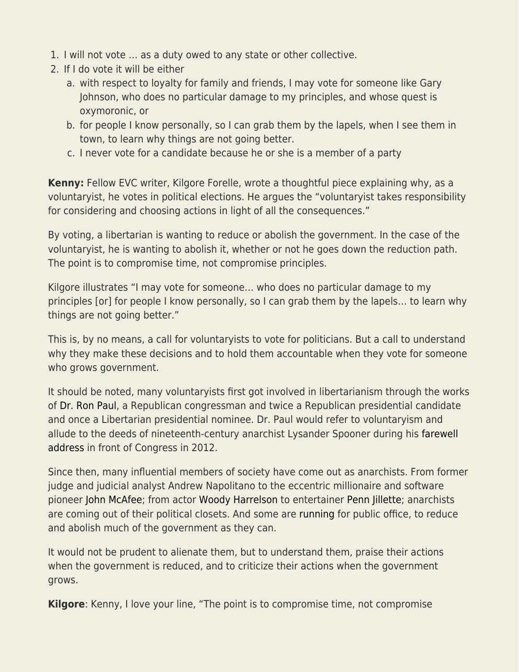- 1. I will not vote … as a duty owed to any state or other collective.
- 2. If I do vote it will be either
	- a. with respect to loyalty for family and friends, I may vote for someone like Gary Johnson, who does no particular damage to my principles, and whose quest is oxymoronic, or
	- b. for people I know personally, so I can grab them by the lapels, when I see them in town, to learn why things are not going better.
	- c. I never vote for a candidate because he or she is a member of a party

**Kenny:** Fellow EVC writer, Kilgore Forelle, wrote a thoughtful piece explaining why, as a voluntaryist, he votes in political elections. He argues the "voluntaryist takes responsibility for considering and choosing actions in light of all the consequences."

By voting, a libertarian is wanting to reduce or abolish the government. In the case of the voluntaryist, he is wanting to abolish it, whether or not he goes down the reduction path. The point is to compromise time, not compromise principles.

Kilgore illustrates "I may vote for someone… who does no particular damage to my principles [or] for people I know personally, so I can grab them by the lapels… to learn why things are not going better."

This is, by no means, a call for voluntaryists to vote for politicians. But a call to understand why they make these decisions and to hold them accountable when they vote for someone who grows government.

It should be noted, many voluntaryists first got involved in libertarianism through the works of [Dr. Ron Paul](https://www.lewrockwell.com/author/ron-paul/), a Republican congressman and twice a Republican presidential candidate and once a Libertarian presidential nominee. Dr. Paul would refer to voluntaryism and allude to the deeds of nineteenth-century anarchist Lysander Spooner during his [farewell](http://www.campaignforliberty.org/national-blog/transcript-of-farewell-address/) [address](http://www.campaignforliberty.org/national-blog/transcript-of-farewell-address/) in front of Congress in 2012.

Since then, many influential members of society have come out as anarchists. From former judge and judicial analyst Andrew Napolitano to the eccentric millionaire and software pioneer [John McAfee;](https://www.youtube.com/watch?v=i3_fr2p7054) from actor [Woody Harrelson](https://web.archive.org/web/20170121001528/http://www.thedailybeast.com:80/articles/2016/09/16/woody-harrelson-is-ready-for-a-revolution-i-don-t-really-believe-in-government.html) to entertainer [Penn Jillette;](https://www.youtube.com/watch?v=CsXxUKjklt8) anarchists are coming out of their political closets. And some are [running](http://darrylwperry.com/bio/) for public office, to reduce and abolish much of the government as they can.

It would not be prudent to alienate them, but to understand them, praise their actions when the government is reduced, and to criticize their actions when the government grows.

**Kilgore**: Kenny, I love your line, "The point is to compromise time, not compromise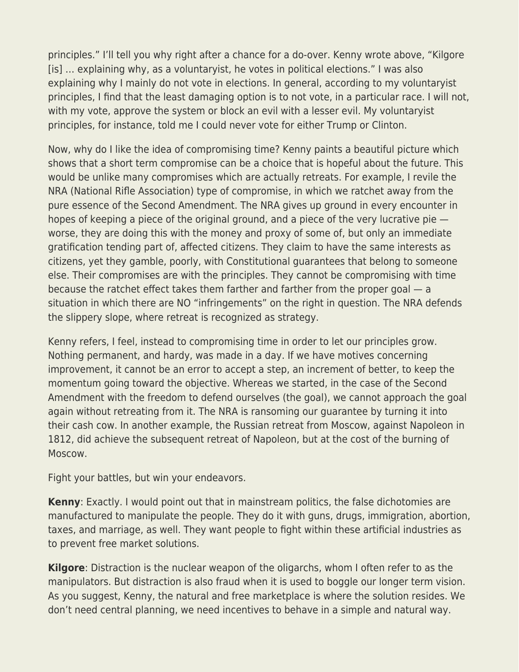principles." I'll tell you why right after a chance for a do-over. Kenny wrote above, "Kilgore [is] … explaining why, as a voluntaryist, he votes in political elections." I was also explaining why I mainly do not vote in elections. In general, according to my voluntaryist principles, I find that the least damaging option is to not vote, in a particular race. I will not, with my vote, approve the system or block an evil with a lesser evil. My voluntaryist principles, for instance, told me I could never vote for either Trump or Clinton.

Now, why do I like the idea of compromising time? Kenny paints a beautiful picture which shows that a short term compromise can be a choice that is hopeful about the future. This would be unlike many compromises which are actually retreats. For example, I revile the NRA (National Rifle Association) type of compromise, in which we ratchet away from the pure essence of the Second Amendment. The NRA gives up ground in every encounter in hopes of keeping a piece of the original ground, and a piece of the very lucrative pie worse, they are doing this with the money and proxy of some of, but only an immediate gratification tending part of, affected citizens. They claim to have the same interests as citizens, yet they gamble, poorly, with Constitutional guarantees that belong to someone else. Their compromises are with the principles. They cannot be compromising with time because the ratchet effect takes them farther and farther from the proper goal — a situation in which there are NO "infringements" on the right in question. The NRA defends the slippery slope, where retreat is recognized as strategy.

Kenny refers, I feel, instead to compromising time in order to let our principles grow. Nothing permanent, and hardy, was made in a day. If we have motives concerning improvement, it cannot be an error to accept a step, an increment of better, to keep the momentum going toward the objective. Whereas we started, in the case of the Second Amendment with the freedom to defend ourselves (the goal), we cannot approach the goal again without retreating from it. The NRA is ransoming our guarantee by turning it into their cash cow. In another example, the Russian retreat from Moscow, against Napoleon in 1812, did achieve the subsequent retreat of Napoleon, but at the cost of the burning of Moscow.

Fight your battles, but win your endeavors.

**Kenny**: Exactly. I would point out that in mainstream politics, the false dichotomies are manufactured to manipulate the people. They do it with guns, drugs, immigration, abortion, taxes, and marriage, as well. They want people to fight within these artificial industries as to prevent free market solutions.

**Kilgore**: Distraction is the nuclear weapon of the oligarchs, whom I often refer to as the manipulators. But distraction is also fraud when it is used to boggle our longer term vision. As you suggest, Kenny, the natural and free marketplace is where the solution resides. We don't need central planning, we need incentives to behave in a simple and natural way.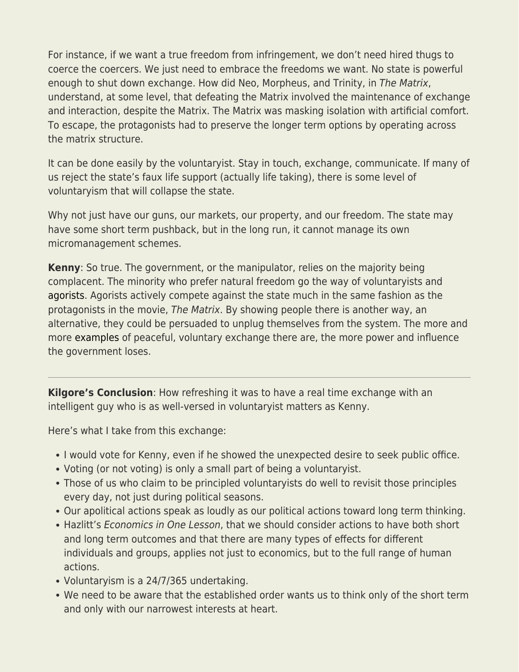For instance, if we want a true freedom from infringement, we don't need hired thugs to coerce the coercers. We just need to embrace the freedoms we want. No state is powerful enough to shut down exchange. How did Neo, Morpheus, and Trinity, in The Matrix, understand, at some level, that defeating the Matrix involved the maintenance of exchange and interaction, despite the Matrix. The Matrix was masking isolation with artificial comfort. To escape, the protagonists had to preserve the longer term options by operating across the matrix structure.

It can be done easily by the voluntaryist. Stay in touch, exchange, communicate. If many of us reject the state's faux life support (actually life taking), there is some level of voluntaryism that will collapse the state.

Why not just have our guns, our markets, our property, and our freedom. The state may have some short term pushback, but in the long run, it cannot manage its own micromanagement schemes.

**Kenny**: So true. The government, or the manipulator, relies on the majority being complacent. The minority who prefer natural freedom go the way of voluntaryists and [agorists.](http://agorism.info/) Agorists actively compete against the state much in the same fashion as the protagonists in the movie, The Matrix. By showing people there is another way, an alternative, they could be persuaded to unplug themselves from the system. The more and more [examples](http://freekeene.com/about/bloggers/) of peaceful, voluntary exchange there are, the more power and influence the government loses.

**Kilgore's Conclusion**: How refreshing it was to have a real time exchange with an intelligent guy who is as well-versed in voluntaryist matters as Kenny.

Here's what I take from this exchange:

- I would vote for Kenny, even if he showed the unexpected desire to seek public office.
- Voting (or not voting) is only a small part of being a voluntaryist.
- Those of us who claim to be principled voluntaryists do well to revisit those principles every day, not just during political seasons.
- Our apolitical actions speak as loudly as our political actions toward long term thinking.
- Hazlitt's Economics in One Lesson, that we should consider actions to have both short and long term outcomes and that there are many types of effects for different individuals and groups, applies not just to economics, but to the full range of human actions.
- Voluntaryism is a 24/7/365 undertaking.
- We need to be aware that the established order wants us to think only of the short term and only with our narrowest interests at heart.